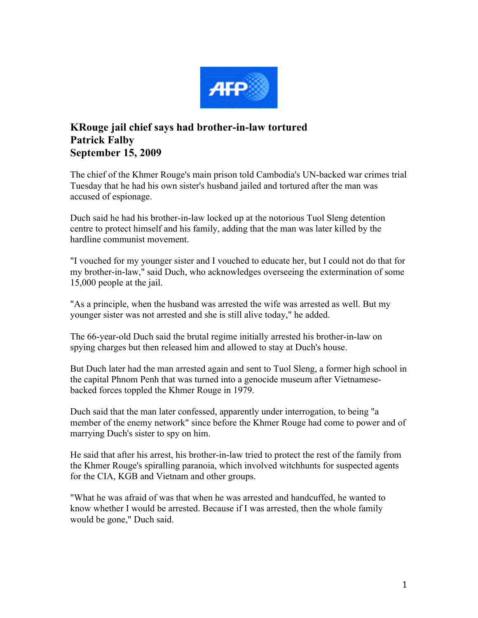

## **KRouge jail chief says had brother-in-law tortured Patrick Falby September 15, 2009**

The chief of the Khmer Rouge's main prison told Cambodia's UN-backed war crimes trial Tuesday that he had his own sister's husband jailed and tortured after the man was accused of espionage.

Duch said he had his brother-in-law locked up at the notorious Tuol Sleng detention centre to protect himself and his family, adding that the man was later killed by the hardline communist movement.

"I vouched for my younger sister and I vouched to educate her, but I could not do that for my brother-in-law," said Duch, who acknowledges overseeing the extermination of some 15,000 people at the jail.

"As a principle, when the husband was arrested the wife was arrested as well. But my younger sister was not arrested and she is still alive today," he added.

The 66-year-old Duch said the brutal regime initially arrested his brother-in-law on spying charges but then released him and allowed to stay at Duch's house.

But Duch later had the man arrested again and sent to Tuol Sleng, a former high school in the capital Phnom Penh that was turned into a genocide museum after Vietnamesebacked forces toppled the Khmer Rouge in 1979.

Duch said that the man later confessed, apparently under interrogation, to being "a member of the enemy network" since before the Khmer Rouge had come to power and of marrying Duch's sister to spy on him.

He said that after his arrest, his brother-in-law tried to protect the rest of the family from the Khmer Rouge's spiralling paranoia, which involved witchhunts for suspected agents for the CIA, KGB and Vietnam and other groups.

"What he was afraid of was that when he was arrested and handcuffed, he wanted to know whether I would be arrested. Because if I was arrested, then the whole family would be gone," Duch said.